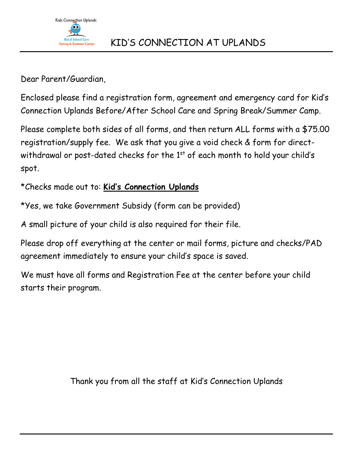

Dear Parent/Guardian,

Enclosed please find a registration form, agreement and emergency card for Kid's Connection Uplands Before/After School Care and Spring Break/Summer Camp.

Please complete both sides of all forms, and then return ALL forms with a \$75.00 registration/supply fee. We ask that you give a void check & form for directwithdrawal or post-dated checks for the  $1<sup>st</sup>$  of each month to hold your child's spot.

\*Checks made out to: **Kid's Connection Uplands**

\*Yes, we take Government Subsidy (form can be provided)

A small picture of your child is also required for their file.

Please drop off everything at the center or mail forms, picture and checks/PAD agreement immediately to ensure your child's space is saved.

We must have all forms and Registration Fee at the center before your child starts their program.

Thank you from all the staff at Kid's Connection Uplands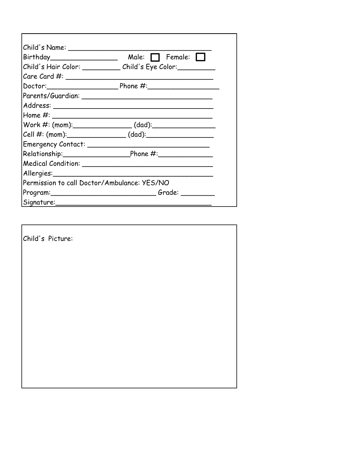| Child's Name: _________________             | $Birthday$ $Male:$ $ The male:$                                                  |
|---------------------------------------------|----------------------------------------------------------------------------------|
|                                             | Child's Hair Color: ______________ Child's Eye Color: __________                 |
|                                             |                                                                                  |
|                                             | Doctor: Phone #: 2000 Phone = Phone = 2000                                       |
|                                             |                                                                                  |
|                                             |                                                                                  |
|                                             |                                                                                  |
|                                             |                                                                                  |
|                                             | Cell #: (mom):__________________________(dad):__________________________________ |
|                                             |                                                                                  |
|                                             |                                                                                  |
|                                             |                                                                                  |
|                                             |                                                                                  |
| Permission to call Doctor/Ambulance: YES/NO |                                                                                  |
|                                             |                                                                                  |
| Signature:                                  |                                                                                  |

| Child's Picture: |  |  |  |
|------------------|--|--|--|
|                  |  |  |  |
|                  |  |  |  |
|                  |  |  |  |
|                  |  |  |  |
|                  |  |  |  |
|                  |  |  |  |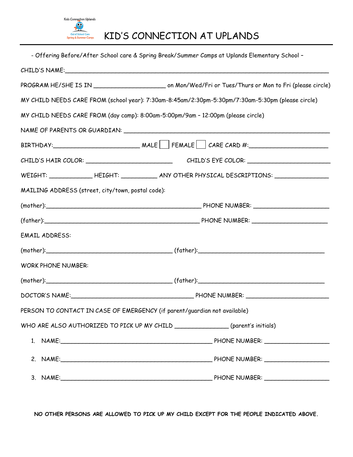

# KID'S CONNECTION AT UPLANDS

| - Offering Before/After School care & Spring Break/Summer Camps at Uplands Elementary School - |                                                                                                     |  |
|------------------------------------------------------------------------------------------------|-----------------------------------------------------------------------------------------------------|--|
|                                                                                                |                                                                                                     |  |
|                                                                                                |                                                                                                     |  |
|                                                                                                | MY CHILD NEEDS CARE FROM (school year): 7:30am-8:45am/2:30pm-5:30pm/7:30am-5:30pm (please circle)   |  |
| MY CHILD NEEDS CARE FROM (day camp): 8:00am-5:00pm/9am - 12:00pm (please circle)               |                                                                                                     |  |
|                                                                                                |                                                                                                     |  |
|                                                                                                | $BIRTHDAY:$ MALE FEMALE $\Box$ CARE CARD #:                                                         |  |
|                                                                                                |                                                                                                     |  |
|                                                                                                | WEIGHT: ________________HEIGHT: ______________ ANY OTHER PHYSICAL DESCRIPTIONS: ___________________ |  |
| MAILING ADDRESS (street, city/town, postal code):                                              |                                                                                                     |  |
|                                                                                                |                                                                                                     |  |
|                                                                                                |                                                                                                     |  |
| <b>EMAIL ADDRESS:</b>                                                                          |                                                                                                     |  |
|                                                                                                |                                                                                                     |  |
| <b>WORK PHONE NUMBER:</b>                                                                      |                                                                                                     |  |
|                                                                                                |                                                                                                     |  |
|                                                                                                |                                                                                                     |  |
| PERSON TO CONTACT IN CASE OF EMERGENCY (if parent/guardian not available)                      |                                                                                                     |  |
| WHO ARE ALSO AUTHORIZED TO PICK UP MY CHILD ________________(parent's initials)                |                                                                                                     |  |
|                                                                                                |                                                                                                     |  |
|                                                                                                |                                                                                                     |  |
|                                                                                                |                                                                                                     |  |

**NO OTHER PERSONS ARE ALLOWED TO PICK UP MY CHILD EXCEPT FOR THE PEOPLE INDICATED ABOVE.**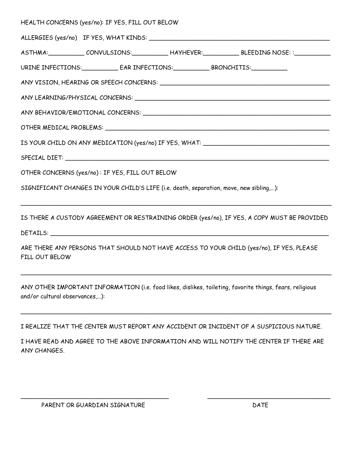|  | HEALTH CONCERNS (yes/no): IF YES, FILL OUT BELOW                                       |  |                                                                                             |  |  |
|--|----------------------------------------------------------------------------------------|--|---------------------------------------------------------------------------------------------|--|--|
|  |                                                                                        |  |                                                                                             |  |  |
|  |                                                                                        |  | ASTHMA: CONVULSIONS: HAYHEVER: BLEEDING NOSE: :                                             |  |  |
|  |                                                                                        |  |                                                                                             |  |  |
|  |                                                                                        |  |                                                                                             |  |  |
|  |                                                                                        |  |                                                                                             |  |  |
|  |                                                                                        |  |                                                                                             |  |  |
|  |                                                                                        |  |                                                                                             |  |  |
|  |                                                                                        |  | IS YOUR CHILD ON ANY MEDICATION (yes/no) IF YES, WHAT: _________________________            |  |  |
|  |                                                                                        |  |                                                                                             |  |  |
|  | OTHER CONCERNS (yes/no): IF YES, FILL OUT BELOW                                        |  |                                                                                             |  |  |
|  | SIGNIFICANT CHANGES IN YOUR CHILD'S LIFE (i.e. death, separation, move, new sibling,): |  |                                                                                             |  |  |
|  |                                                                                        |  | IS THERE A CUSTODY AGREEMENT OR RESTRAINING ORDER (yes/no), IF YES, A COPY MUST BE PROVIDED |  |  |
|  |                                                                                        |  |                                                                                             |  |  |

ARE THERE ANY PERSONS THAT SHOULD NOT HAVE ACCESS TO YOUR CHILD (yes/no), IF YES, PLEASE FILL OUT BELOW

\_\_\_\_\_\_\_\_\_\_\_\_\_\_\_\_\_\_\_\_\_\_\_\_\_\_\_\_\_\_\_\_\_\_\_\_\_\_\_\_\_\_\_\_\_\_\_\_\_\_\_\_\_\_\_\_\_\_\_\_\_\_\_\_\_\_\_\_\_\_\_\_\_\_\_\_\_\_\_\_\_\_\_\_\_\_

ANY OTHER IMPORTANT INFORMATION (i.e. food likes, dislikes, toileting, favorite things, fears, religious and/or cultural observances,…):

I REALIZE THAT THE CENTER MUST REPORT ANY ACCIDENT OR INCIDENT OF A SUSPICIOUS NATURE.

\_\_\_\_\_\_\_\_\_\_\_\_\_\_\_\_\_\_\_\_\_\_\_\_\_\_\_\_\_\_\_\_\_\_\_\_\_\_\_\_\_\_\_\_\_\_\_\_\_\_\_\_\_\_\_\_\_\_\_\_\_\_\_\_\_\_\_\_\_\_\_\_\_\_\_\_\_\_\_\_\_\_\_\_\_\_

I HAVE READ AND AGREE TO THE ABOVE INFORMATION AND WILL NOTIFY THE CENTER IF THERE ARE ANY CHANGES.

\_\_\_\_\_\_\_\_\_\_\_\_\_\_\_\_\_\_\_\_\_\_\_\_\_\_\_\_\_\_\_\_\_\_\_\_\_\_\_\_\_ \_\_\_\_\_\_\_\_\_\_\_\_\_\_\_\_\_\_\_\_\_\_\_\_\_\_\_\_\_\_\_\_\_\_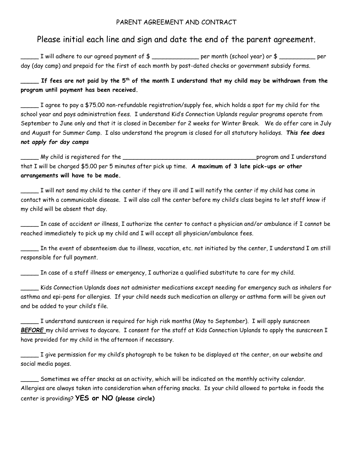#### PARENT AGREEMENT AND CONTRACT

### Please initial each line and sign and date the end of the parent agreement.

 $\Box$  I will adhere to our agreed payment of  $\frac{1}{2}$   $\Box$   $\Box$  per month (school year) or  $\frac{1}{2}$   $\Box$  per day (day camp) and prepaid for the first of each month by post-dated checks or government subsidy forms.

**\_\_\_\_\_ If fees are not paid by the 5th of the month I understand that my child may be withdrawn from the program until payment has been received.**

\_\_\_\_\_ I agree to pay a \$75.00 non-refundable registration/supply fee, which holds a spot for my child for the school year and pays administration fees. I understand Kid's Connection Uplands regular programs operate from September to June only and that it is closed in December for 2 weeks for Winter Break. We do offer care in July and August for Summer Camp. I also understand the program is closed for all statutory holidays. *This fee does not apply for day camps*

\_\_\_\_\_ My child is registered for the \_\_\_\_\_\_\_\_\_\_\_\_\_\_\_\_\_\_\_\_\_\_\_\_\_\_\_\_\_\_\_\_\_\_\_\_\_program and I understand that I will be charged \$5.00 per 5 minutes after pick up time. **A maximum of 3 late pick-ups or other arrangements will have to be made.**

\_\_\_\_\_ I will not send my child to the center if they are ill and I will notify the center if my child has come in contact with a communicable disease. I will also call the center before my child's class begins to let staff know if my child will be absent that day.

 $\_$  In case of accident or illness, I authorize the center to contact a physician and/or ambulance if I cannot be reached immediately to pick up my child and I will accept all physician/ambulance fees.

\_\_\_\_\_ In the event of absenteeism due to illness, vacation, etc. not initiated by the center, I understand I am still responsible for full payment.

\_\_\_\_\_ In case of a staff illness or emergency, I authorize a qualified substitute to care for my child.

\_\_\_\_\_ Kids Connection Uplands does not administer medications except needing for emergency such as inhalers for asthma and epi-pens for allergies. If your child needs such medication an allergy or asthma form will be given out and be added to your child's file.

\_\_\_\_\_ I understand sunscreen is required for high risk months (May to September). I will apply sunscreen *BEFORE* my child arrives to daycare. I consent for the staff at Kids Connection Uplands to apply the sunscreen I have provided for my child in the afternoon if necessary.

 $\_\_$ I give permission for my child's photograph to be taken to be displayed at the center, on our website and social media pages.

\_\_\_\_\_ Sometimes we offer snacks as an activity, which will be indicated on the monthly activity calendar. Allergies are always taken into consideration when offering snacks. Is your child allowed to partake in foods the center is providing? **YES or NO (please circle)**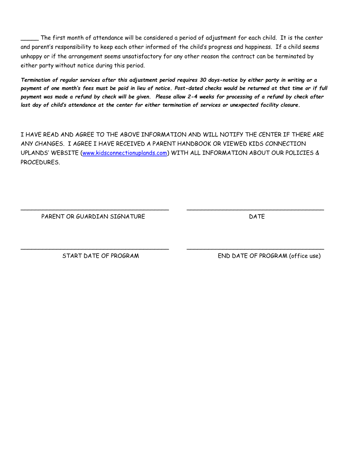\_\_\_\_\_ The first month of attendance will be considered a period of adjustment for each child. It is the center and parent's responsibility to keep each other informed of the child's progress and happiness. If a child seems unhappy or if the arrangement seems unsatisfactory for any other reason the contract can be terminated by either party without notice during this period.

*Termination of regular services after this adjustment period requires 30 days-notice by either party in writing or a payment of one month's fees must be paid in lieu of notice. Post-dated checks would be returned at that time or if full payment was made a refund by check will be given. Please allow 2-4 weeks for processing of a refund by check after last day of child's attendance at the center for either termination of services or unexpected facility closure.*

I HAVE READ AND AGREE TO THE ABOVE INFORMATION AND WILL NOTIFY THE CENTER IF THERE ARE ANY CHANGES. I AGREE I HAVE RECEIVED A PARENT HANDBOOK OR VIEWED KIDS CONNECTION UPLANDS' WEBSITE ([www.kidsconnectionuplands.com\)](http://www.kidsconnectionuplands.com/) WITH ALL INFORMATION ABOUT OUR POLICIES & PROCEDURES.

\_\_\_\_\_\_\_\_\_\_\_\_\_\_\_\_\_\_\_\_\_\_\_\_\_\_\_\_\_\_\_\_\_\_\_\_\_\_\_\_\_ \_\_\_\_\_\_\_\_\_\_\_\_\_\_\_\_\_\_\_\_\_\_\_\_\_\_\_\_\_\_\_\_\_\_\_\_\_\_

\_\_\_\_\_\_\_\_\_\_\_\_\_\_\_\_\_\_\_\_\_\_\_\_\_\_\_\_\_\_\_\_\_\_\_\_\_\_\_\_\_ \_\_\_\_\_\_\_\_\_\_\_\_\_\_\_\_\_\_\_\_\_\_\_\_\_\_\_\_\_\_\_\_\_\_\_\_\_\_

PARENT OR GUARDIAN SIGNATURE **Example 2018** DATE

START DATE OF PROGRAM END DATE OF PROGRAM (office use)